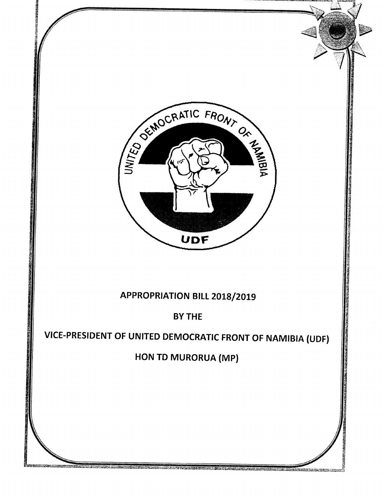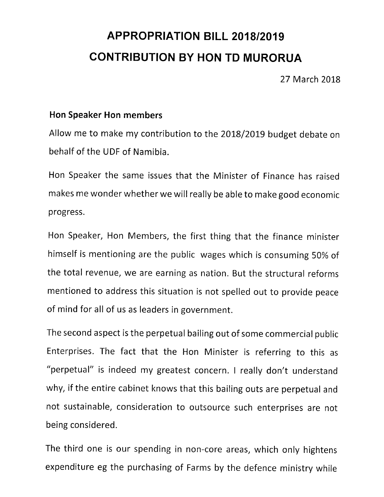## **APPROPRIATION BILL** *2018/2019* **CONTRIBUTION BY HON TO MURORUA**

27 March 2018

## **Hon Speaker Hon members**

Allow me to make my contribution to the 2018/2019 budget debate on behalf of the UDF of Namibia.

Hon Speaker the same issues that the Minister of Finance has raised makes me wonder whether we will really be able to make good economic progress.

Hon Speaker, Hon Members, the first thing that the finance minister himself is mentioning are the public wages which is consuming 50% of the total revenue, we are earning as nation. But the structural reforms mentioned to address this situation is not spelled out to provide peace of mind for all of us as leaders in government.

The second aspect is the perpetual bailing out of some commercial public Enterprises. The fact that the Hon Minister is referring to this as "perpetual" is indeed my greatest concern. I really don't understand why, if the entire cabinet knows that this bailing outs are perpetual and not sustainable, consideration to outsource such enterprises are not being considered.

The third one is our spending in non-core areas, which only hightens expenditure eg the purchasing of Farms by the defence ministry while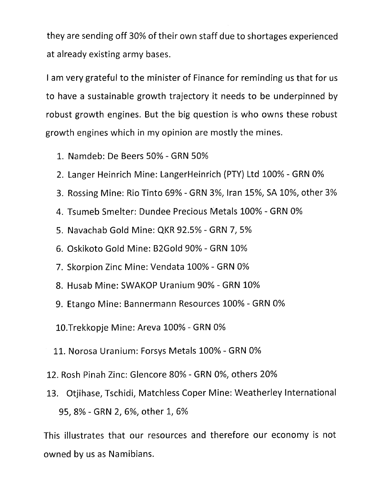they are sending off 30% of their own staff due to shortages experienced at already existing army bases.

I am very grateful to the minister of Finance for reminding us that for us to have a sustainable growth trajectory it needs to be underpinned by robust growth engines. But the big question is who owns these robust growth engines which in my opinion are mostly the mines.

- 1. Namdeb: De Beers 50% GRN 50%
- 2. Langer Heinrich Mine: LangerHeinrich (PTY) Ltd 100% GRN 0%
- 3. Rossing Mine: Rio Tinto 69% GRN 3%, Iran 15%, SA 10%, other 3%
- 4. Tsumeb Smelter: Dundee Precious Metals 100% GRN 0%
- 5. Navachab Gold Mine: QKR 92.5% GRN 7, 5%
- 6. Oskikoto Gold Mine: B2Gold 90% GRN 10%
- 7. Skorpion Zinc Mine: Vendata 100% GRN 0%
- 8. Husab Mine: SWAKOP Uranium 90% GRN 10%
- 9. Etango Mine: Bannermann Resources 100% GRN 0%
- 10.Trekkopje Mine: Areva 100% GRN 0%
- 11. Norosa Uranium: Forsys Metals 100% GRN 0%
- 12. Rosh Pinah Zinc: Glencore 80% GRN 0%, others 20%
- 13. Otiihase, Tschidi, Matchless Coper Mine: Weatherley International 95, 8% - GRN 2, 6%, other 1, 6%

This illustrates that our resources and therefore our economy is not owned by us as Namibians.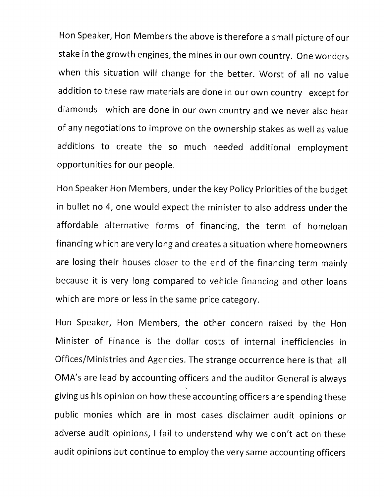Hon Speaker, Hon Members the above is therefore a small picture of our stake in the growth engines, the mines in our own country. One wonders when this situation will change for the better. Worst of all no value addition to these raw materials are done in our own country except for diamonds which are done in our own country and we never also hear of any negotiations to improve on the ownership stakes as well as value additions to create the so much needed additional employment opportunities for our people.

Hon Speaker Hon Members, under the key Policy Priorities of the budget in bullet no 4, one would expect the minister to also address under the affordable alternative forms of financing, the term of homeloan financing which are very long and creates a situation where homeowners are losing their houses closer to the end of the financing term mainly because it is very long compared to vehicle financing and other loans which are more or less in the same price category.

Hon Speaker, Hon Members, the other concern raised by the Hon Minister of Finance is the dollar costs of internal inefficiencies in Offices/Ministries and Agencies. The strange occurrence here is that all OMA's are lead by accounting officers and the auditor General is always giving us his opinion on how these accounting officers are spending these public monies which are in most cases disclaimer audit opinions or adverse audit opinions, I fail to understand why we don't act on these audit opinions but continue to employ the very same accounting officers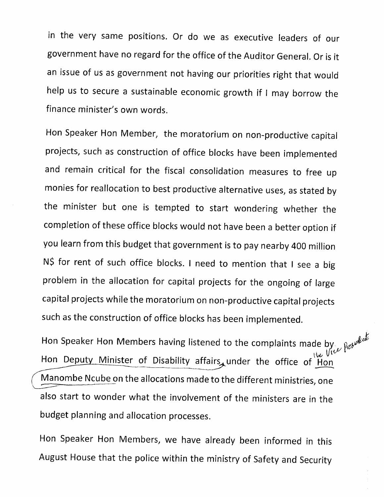in the very same positions. Or do we as executive leaders of our government have no regard for the office of the Auditor General. Or is it an issue of us as government not having our priorities right that would help us to secure a sustainable economic growth if I may borrow the finance minister's own words.

Hon Speaker Hon Member, the moratorium on non-productive capital projects, such as construction of office blocks have been implemented and remain critical for the fiscal consolidation measures to free up monies for reallocation to best productive alternative uses, as stated by the minister but one is tempted to start wondering whether the completion of these office blocks would not have been a better option if you learn from this budget that government is to pay nearby 400 million N\$ for rent of such office blocks. I need to mention that I see a big problem in the allocation for capital projects for the ongoing of large capital projects while the moratorium on non-productive capital projects such as the construction of office blocks has been implemented.

Hon Speaker Hon Members having listened to the complaints made by  $p_{ab}$  $\cup$  VI $v$ Hon Deputy Minister of Disability affairs, under the office of Hon Manombe Ncube on the allocations made to the different ministries, one ~ also start to wonder what the involvement of the ministers are in the budget planning and allocation processes.

Hon Speaker Hon Members, we have already been informed in this August House that the police within the ministry of Safety and Security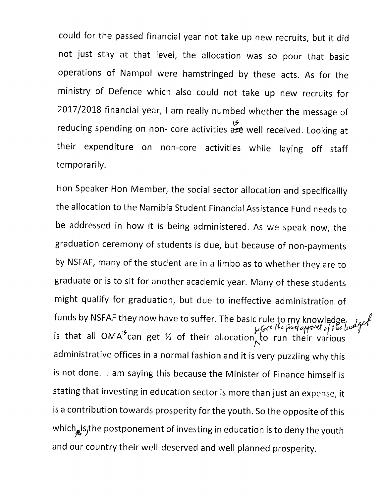could for the passed financial year not take up new recruits, but it did not just stay at that level, the allocation was so poor that basic operations of Nampol were hamstringed by these acts. As for the ministry of Defence which also could not take up new recruits for 2017/2018 financial year, I am really numbed whether the message of educing spending on non- core activities are well received. Looking at their expenditure on non-core activities while laying off staff temporarily.

Hon Speaker Hon Member, the social sector allocation and specificailly the allocation to the Namibia Student Financial Assistance Fund needs to be addressed in how it is being administered. As we speak now, the graduation ceremony of students is due, but because of non-payments by NSFAF, many of the student are in a limbo as to whether they are to graduate or is to sit for another academic year. Many of these students might qualify for graduation, but due to ineffective administration of funds by NSFAF they now have to suffer. The basic rule to my knowledge, . *J<sub>eff</sub>e*<br>is that all ONAN<sup>2</sup> is that all OMA' can get  $\%$  of their allocation to run their various administrative offices in a normal fashion and it is very puzzling why this is not done. I am saying this because the Minister of Finance himself is stating that investing in education sector is more than just an expense, it is a contribution towards prosperity for the youth. So the opposite of this which $_{\mathbf{x}}$ is, the postponement of investing in education is to deny the youth and our country their well-deserved and well planned prosperity.